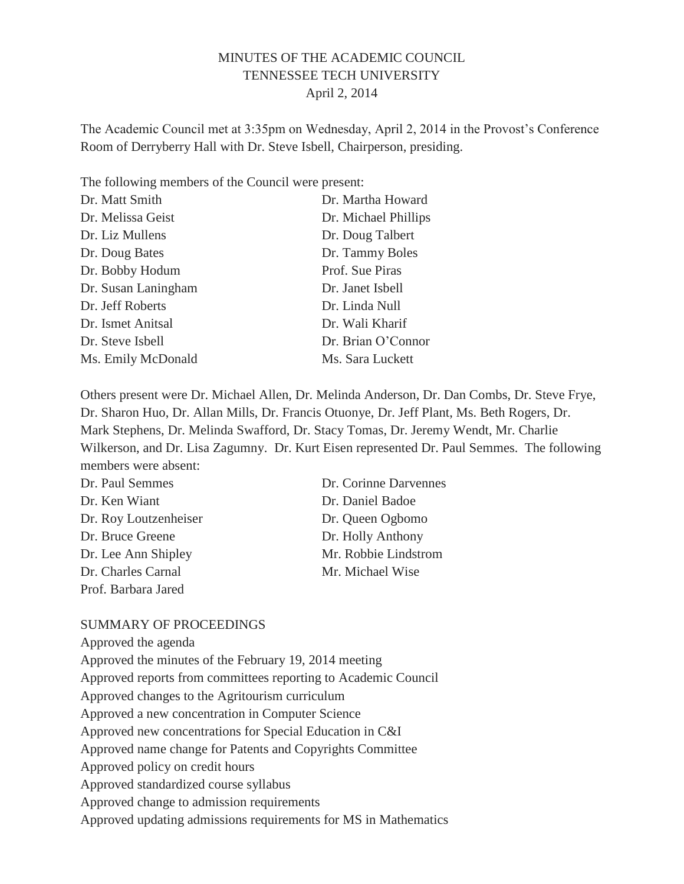## MINUTES OF THE ACADEMIC COUNCIL TENNESSEE TECH UNIVERSITY April 2, 2014

The Academic Council met at 3:35pm on Wednesday, April 2, 2014 in the Provost's Conference Room of Derryberry Hall with Dr. Steve Isbell, Chairperson, presiding.

The following members of the Council were present:

| Dr. Matt Smith      | Dr. Martha Howard    |
|---------------------|----------------------|
| Dr. Melissa Geist   | Dr. Michael Phillips |
| Dr. Liz Mullens     | Dr. Doug Talbert     |
| Dr. Doug Bates      | Dr. Tammy Boles      |
| Dr. Bobby Hodum     | Prof. Sue Piras      |
| Dr. Susan Laningham | Dr. Janet Isbell     |
| Dr. Jeff Roberts    | Dr. Linda Null       |
| Dr. Ismet Anitsal   | Dr. Wali Kharif      |
| Dr. Steve Isbell    | Dr. Brian O'Connor   |
| Ms. Emily McDonald  | Ms. Sara Luckett     |

Others present were Dr. Michael Allen, Dr. Melinda Anderson, Dr. Dan Combs, Dr. Steve Frye, Dr. Sharon Huo, Dr. Allan Mills, Dr. Francis Otuonye, Dr. Jeff Plant, Ms. Beth Rogers, Dr. Mark Stephens, Dr. Melinda Swafford, Dr. Stacy Tomas, Dr. Jeremy Wendt, Mr. Charlie Wilkerson, and Dr. Lisa Zagumny. Dr. Kurt Eisen represented Dr. Paul Semmes. The following members were absent:

| Dr. Paul Semmes       | Dr. Corinne Darvennes |
|-----------------------|-----------------------|
| Dr. Ken Wiant         | Dr. Daniel Badoe      |
| Dr. Roy Loutzenheiser | Dr. Queen Ogbomo      |
| Dr. Bruce Greene      | Dr. Holly Anthony     |
| Dr. Lee Ann Shipley   | Mr. Robbie Lindstrom  |
| Dr. Charles Carnal    | Mr. Michael Wise      |
| Prof. Barbara Jared   |                       |

#### SUMMARY OF PROCEEDINGS

Approved the agenda Approved the minutes of the February 19, 2014 meeting Approved reports from committees reporting to Academic Council Approved changes to the Agritourism curriculum Approved a new concentration in Computer Science Approved new concentrations for Special Education in C&I Approved name change for Patents and Copyrights Committee Approved policy on credit hours Approved standardized course syllabus Approved change to admission requirements Approved updating admissions requirements for MS in Mathematics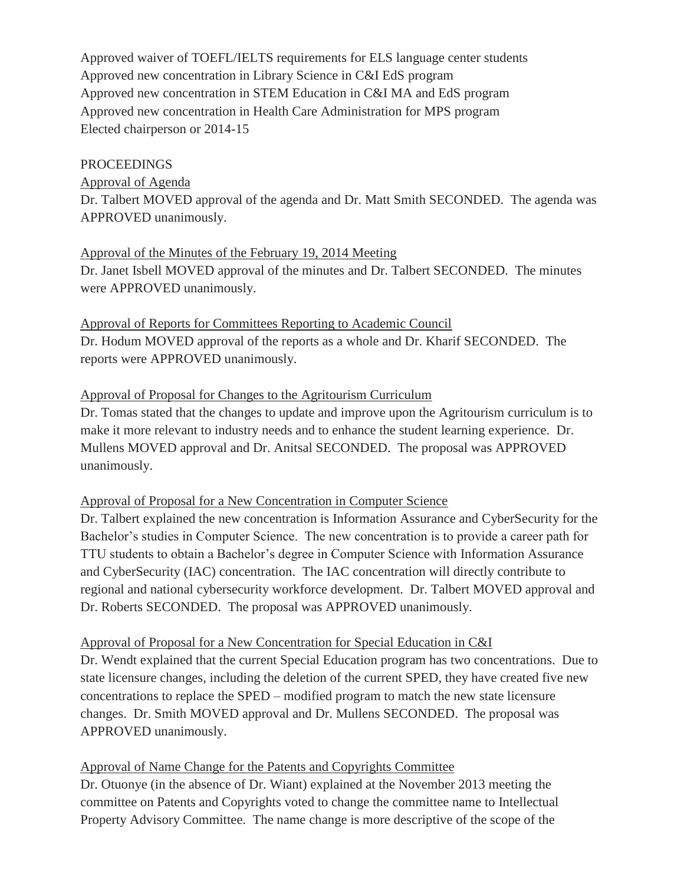Approved waiver of TOEFL/IELTS requirements for ELS language center students Approved new concentration in Library Science in C&I EdS program Approved new concentration in STEM Education in C&I MA and EdS program Approved new concentration in Health Care Administration for MPS program Elected chairperson or 2014-15

#### PROCEEDINGS

Approval of Agenda Dr. Talbert MOVED approval of the agenda and Dr. Matt Smith SECONDED. The agenda was APPROVED unanimously.

#### Approval of the Minutes of the February 19, 2014 Meeting

Dr. Janet Isbell MOVED approval of the minutes and Dr. Talbert SECONDED. The minutes were APPROVED unanimously.

Approval of Reports for Committees Reporting to Academic Council Dr. Hodum MOVED approval of the reports as a whole and Dr. Kharif SECONDED. The reports were APPROVED unanimously.

## Approval of Proposal for Changes to the Agritourism Curriculum

Dr. Tomas stated that the changes to update and improve upon the Agritourism curriculum is to make it more relevant to industry needs and to enhance the student learning experience. Dr. Mullens MOVED approval and Dr. Anitsal SECONDED. The proposal was APPROVED unanimously.

## Approval of Proposal for a New Concentration in Computer Science

Dr. Talbert explained the new concentration is Information Assurance and CyberSecurity for the Bachelor's studies in Computer Science. The new concentration is to provide a career path for TTU students to obtain a Bachelor's degree in Computer Science with Information Assurance and CyberSecurity (IAC) concentration. The IAC concentration will directly contribute to regional and national cybersecurity workforce development. Dr. Talbert MOVED approval and Dr. Roberts SECONDED. The proposal was APPROVED unanimously.

## Approval of Proposal for a New Concentration for Special Education in C&I

Dr. Wendt explained that the current Special Education program has two concentrations. Due to state licensure changes, including the deletion of the current SPED, they have created five new concentrations to replace the SPED – modified program to match the new state licensure changes. Dr. Smith MOVED approval and Dr. Mullens SECONDED. The proposal was APPROVED unanimously.

## Approval of Name Change for the Patents and Copyrights Committee

Dr. Otuonye (in the absence of Dr. Wiant) explained at the November 2013 meeting the committee on Patents and Copyrights voted to change the committee name to Intellectual Property Advisory Committee. The name change is more descriptive of the scope of the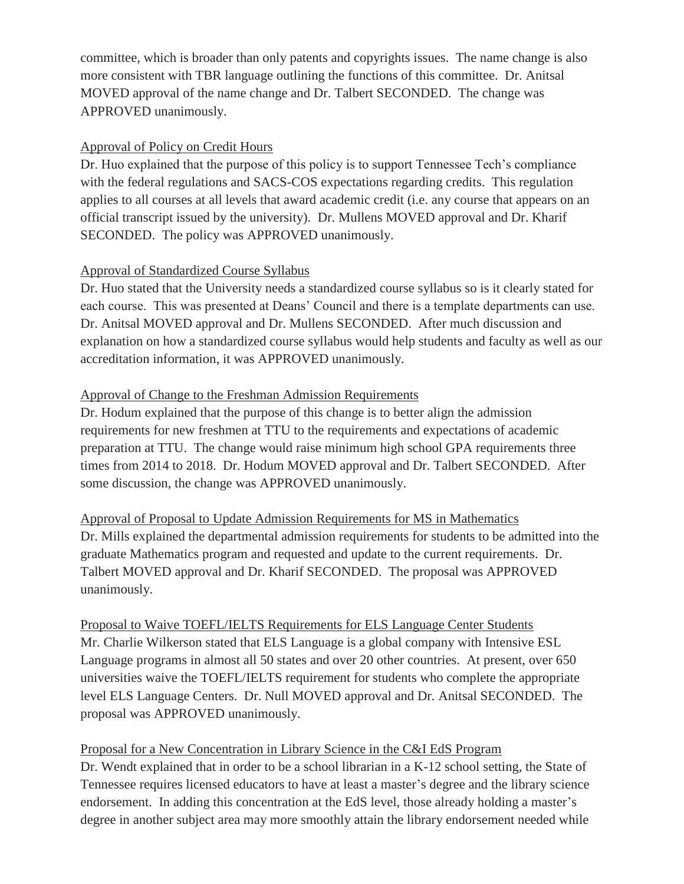committee, which is broader than only patents and copyrights issues. The name change is also more consistent with TBR language outlining the functions of this committee. Dr. Anitsal MOVED approval of the name change and Dr. Talbert SECONDED. The change was APPROVED unanimously.

## Approval of Policy on Credit Hours

Dr. Huo explained that the purpose of this policy is to support Tennessee Tech's compliance with the federal regulations and SACS-COS expectations regarding credits. This regulation applies to all courses at all levels that award academic credit (i.e. any course that appears on an official transcript issued by the university). Dr. Mullens MOVED approval and Dr. Kharif SECONDED. The policy was APPROVED unanimously.

# Approval of Standardized Course Syllabus

Dr. Huo stated that the University needs a standardized course syllabus so is it clearly stated for each course. This was presented at Deans' Council and there is a template departments can use. Dr. Anitsal MOVED approval and Dr. Mullens SECONDED. After much discussion and explanation on how a standardized course syllabus would help students and faculty as well as our accreditation information, it was APPROVED unanimously.

# Approval of Change to the Freshman Admission Requirements

Dr. Hodum explained that the purpose of this change is to better align the admission requirements for new freshmen at TTU to the requirements and expectations of academic preparation at TTU. The change would raise minimum high school GPA requirements three times from 2014 to 2018. Dr. Hodum MOVED approval and Dr. Talbert SECONDED. After some discussion, the change was APPROVED unanimously.

Approval of Proposal to Update Admission Requirements for MS in Mathematics Dr. Mills explained the departmental admission requirements for students to be admitted into the graduate Mathematics program and requested and update to the current requirements. Dr. Talbert MOVED approval and Dr. Kharif SECONDED. The proposal was APPROVED unanimously.

Proposal to Waive TOEFL/IELTS Requirements for ELS Language Center Students Mr. Charlie Wilkerson stated that ELS Language is a global company with Intensive ESL Language programs in almost all 50 states and over 20 other countries. At present, over 650 universities waive the TOEFL/IELTS requirement for students who complete the appropriate level ELS Language Centers. Dr. Null MOVED approval and Dr. Anitsal SECONDED. The proposal was APPROVED unanimously.

# Proposal for a New Concentration in Library Science in the C&I EdS Program Dr. Wendt explained that in order to be a school librarian in a K-12 school setting, the State of Tennessee requires licensed educators to have at least a master's degree and the library science endorsement. In adding this concentration at the EdS level, those already holding a master's

degree in another subject area may more smoothly attain the library endorsement needed while